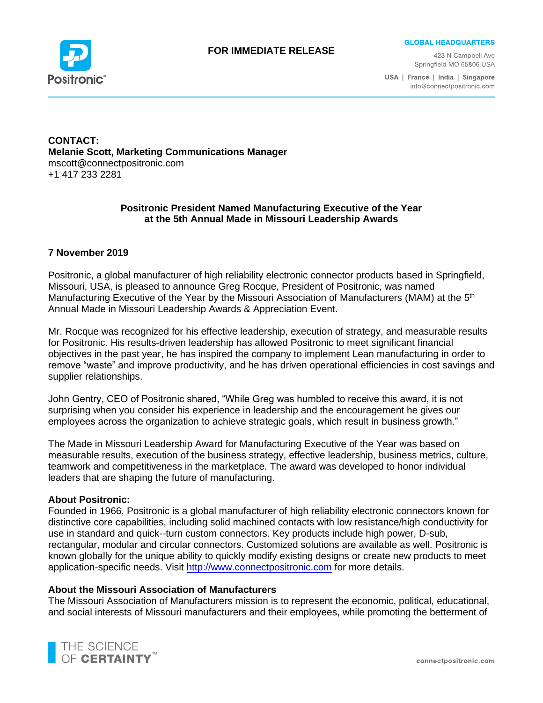

# **FOR IMMEDIATE RELEASE**

**GLOBAL HEADQUARTERS** 

423 N Campbell Ave Springfield MO 65806 USA

USA | France | India | Singapore info@connectpositronic.com

## **CONTACT: Melanie Scott, Marketing Communications Manager** mscott@connectpositronic.com +1 417 233 2281

## **Positronic President Named Manufacturing Executive of the Year at the 5th Annual Made in Missouri Leadership Awards**

### **7 November 2019**

Positronic, a global manufacturer of high reliability electronic connector products based in Springfield, Missouri, USA, is pleased to announce Greg Rocque, President of Positronic, was named Manufacturing Executive of the Year by the Missouri Association of Manufacturers (MAM) at the 5<sup>th</sup> Annual Made in Missouri Leadership Awards & Appreciation Event.

Mr. Rocque was recognized for his effective leadership, execution of strategy, and measurable results for Positronic. His results-driven leadership has allowed Positronic to meet significant financial objectives in the past year, he has inspired the company to implement Lean manufacturing in order to remove "waste" and improve productivity, and he has driven operational efficiencies in cost savings and supplier relationships.

John Gentry, CEO of Positronic shared, "While Greg was humbled to receive this award, it is not surprising when you consider his experience in leadership and the encouragement he gives our employees across the organization to achieve strategic goals, which result in business growth."

The Made in Missouri Leadership Award for Manufacturing Executive of the Year was based on measurable results, execution of the business strategy, effective leadership, business metrics, culture, teamwork and competitiveness in the marketplace. The award was developed to honor individual leaders that are shaping the future of manufacturing.

#### **About Positronic:**

Founded in 1966, Positronic is a global manufacturer of high reliability electronic connectors known for distinctive core capabilities, including solid machined contacts with low resistance/high conductivity for use in standard and quick--turn custom connectors. Key products include high power, D-sub, rectangular, modular and circular connectors. Customized solutions are available as well. Positronic is known globally for the unique ability to quickly modify existing designs or create new products to meet application-specific needs. Visit [http://www.connectpositronic.com](http://www.connectpositronic.com/) for more details.

#### **About the Missouri Association of Manufacturers**

The Missouri Association of Manufacturers mission is to represent the economic, political, educational, and social interests of Missouri manufacturers and their employees, while promoting the betterment of